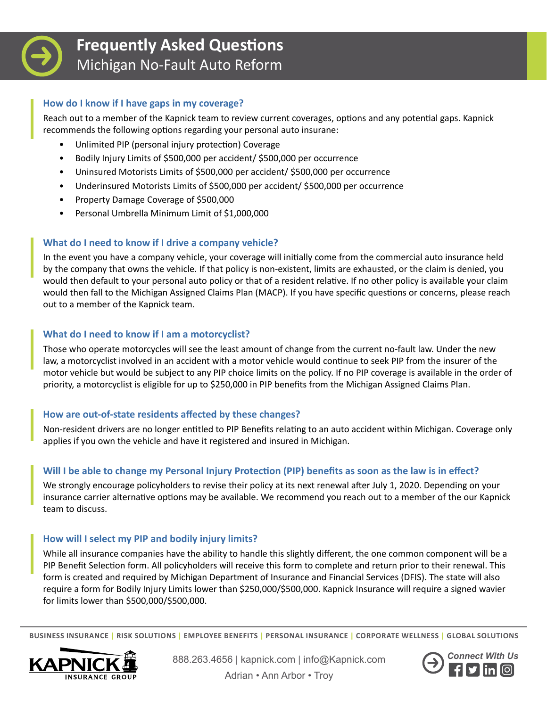

# **Frequently Asked Questions** Michigan No-Fault Auto Reform

## **How do I know if I have gaps in my coverage?**

Reach out to a member of the Kapnick team to review current coverages, options and any potential gaps. Kapnick recommends the following options regarding your personal auto insurane:

- Unlimited PIP (personal injury protection) Coverage
- Bodily Injury Limits of \$500,000 per accident/ \$500,000 per occurrence
- Uninsured Motorists Limits of \$500,000 per accident/ \$500,000 per occurrence
- Underinsured Motorists Limits of \$500,000 per accident/ \$500,000 per occurrence
- Property Damage Coverage of \$500,000
- Personal Umbrella Minimum Limit of \$1,000,000

# **What do I need to know if I drive a company vehicle?**

In the event you have a company vehicle, your coverage will initially come from the commercial auto insurance held by the company that owns the vehicle. If that policy is non-existent, limits are exhausted, or the claim is denied, you would then default to your personal auto policy or that of a resident relative. If no other policy is available your claim would then fall to the Michigan Assigned Claims Plan (MACP). If you have specific questions or concerns, please reach out to a member of the Kapnick team.

# **What do I need to know if I am a motorcyclist?**

Those who operate motorcycles will see the least amount of change from the current no-fault law. Under the new law, a motorcyclist involved in an accident with a motor vehicle would continue to seek PIP from the insurer of the motor vehicle but would be subject to any PIP choice limits on the policy. If no PIP coverage is available in the order of priority, a motorcyclist is eligible for up to \$250,000 in PIP benefits from the Michigan Assigned Claims Plan.

# **How are out-of-state residents affected by these changes?**

Non-resident drivers are no longer entitled to PIP Benefits relating to an auto accident within Michigan. Coverage only applies if you own the vehicle and have it registered and insured in Michigan.

#### **Will I be able to change my Personal Injury Protection (PIP) benefits as soon as the law is in effect?**

We strongly encourage policyholders to revise their policy at its next renewal after July 1, 2020. Depending on your insurance carrier alternative options may be available. We recommend you reach out to a member of the our Kapnick team to discuss.

#### **How will I select my PIP and bodily injury limits?**

While all insurance companies have the ability to handle this slightly different, the one common component will be a PIP Benefit Selection form. All policyholders will receive this form to complete and return prior to their renewal. This form is created and required by Michigan Department of Insurance and Financial Services (DFIS). The state will also require a form for Bodily Injury Limits lower than \$250,000/\$500,000. Kapnick Insurance will require a signed wavier for limits lower than \$500,000/\$500,000.

**BUSINESS INSURANCE | RISK SOLUTIONS | EMPLOYEE BENEFITS | PERSONAL INSURANCE | CORPORATE WELLNESS | GLOBAL SOLUTIONS**



888.263.4656 | kapnick.com | info@Kapnick.com | connect With Us<br>| **Connect With Us** Adrian • Ann Arbor • Troy